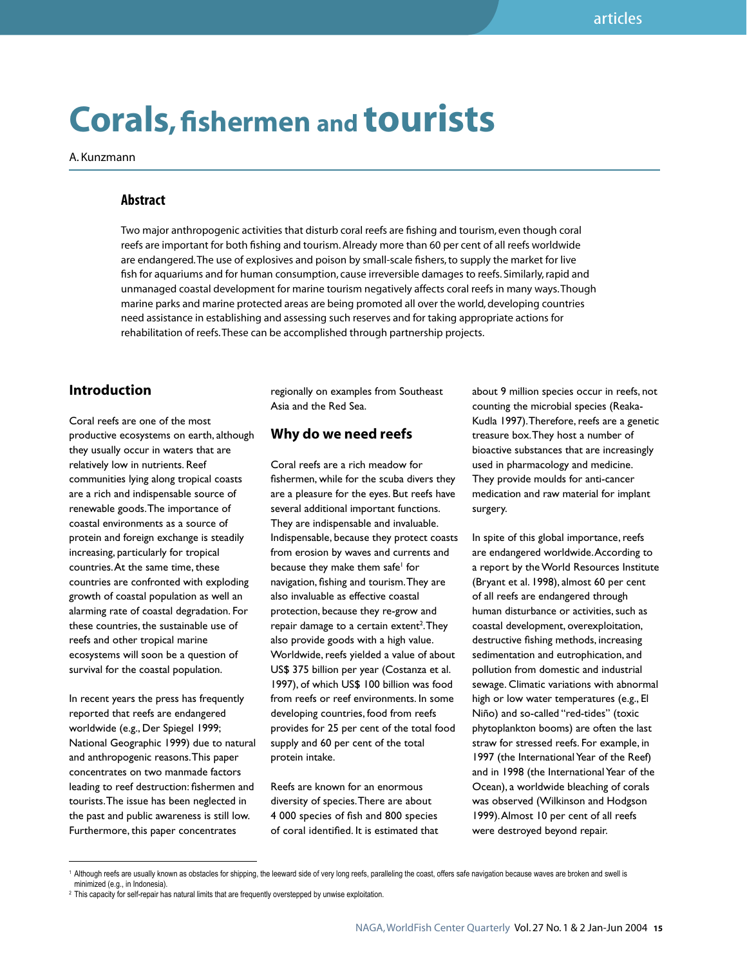# **Corals, fishermen and <b>tourists**

#### A. Kunzmann

#### **Abstract**

Two major anthropogenic activities that disturb coral reefs are fishing and tourism, even though coral reefs are important for both fishing and tourism. Already more than 60 per cent of all reefs worldwide are endangered. The use of explosives and poison by small-scale fishers, to supply the market for live fish for aquariums and for human consumption, cause irreversible damages to reefs. Similarly, rapid and unmanaged coastal development for marine tourism negatively affects coral reefs in many ways. Though marine parks and marine protected areas are being promoted all over the world, developing countries need assistance in establishing and assessing such reserves and for taking appropriate actions for rehabilitation of reefs. These can be accomplished through partnership projects.

### **Introduction**

Coral reefs are one of the most productive ecosystems on earth, although they usually occur in waters that are relatively low in nutrients. Reef communities lying along tropical coasts are a rich and indispensable source of renewable goods. The importance of coastal environments as a source of protein and foreign exchange is steadily increasing, particularly for tropical countries. At the same time, these countries are confronted with exploding growth of coastal population as well an alarming rate of coastal degradation. For these countries, the sustainable use of reefs and other tropical marine ecosystems will soon be a question of survival for the coastal population.

In recent years the press has frequently reported that reefs are endangered worldwide (e.g., Der Spiegel 1999; National Geographic 1999) due to natural and anthropogenic reasons. This paper concentrates on two manmade factors leading to reef destruction: fishermen and tourists. The issue has been neglected in the past and public awareness is still low. Furthermore, this paper concentrates

regionally on examples from Southeast Asia and the Red Sea.

#### **Why do we need reefs**

Coral reefs are a rich meadow for fishermen, while for the scuba divers they are a pleasure for the eyes. But reefs have several additional important functions. They are indispensable and invaluable. Indispensable, because they protect coasts from erosion by waves and currents and because they make them safe<sup>1</sup> for navigation, fishing and tourism. They are also invaluable as effective coastal protection, because they re-grow and repair damage to a certain extent<sup>2</sup>. They also provide goods with a high value. Worldwide, reefs yielded a value of about US\$ 375 billion per year (Costanza et al. 1997), of which US\$ 100 billion was food from reefs or reef environments. In some developing countries, food from reefs provides for 25 per cent of the total food supply and 60 per cent of the total protein intake.

Reefs are known for an enormous diversity of species. There are about 4 000 species of fish and 800 species of coral identified. It is estimated that about 9 million species occur in reefs, not counting the microbial species (Reaka-Kudla 1997). Therefore, reefs are a genetic treasure box. They host a number of bioactive substances that are increasingly used in pharmacology and medicine. They provide moulds for anti-cancer medication and raw material for implant surgery.

In spite of this global importance, reefs are endangered worldwide. According to a report by the World Resources Institute (Bryant et al. 1998), almost 60 per cent of all reefs are endangered through human disturbance or activities, such as coastal development, overexploitation, destructive fishing methods, increasing sedimentation and eutrophication, and pollution from domestic and industrial sewage. Climatic variations with abnormal high or low water temperatures (e.g., El Niño) and so-called "red-tides" (toxic phytoplankton booms) are often the last straw for stressed reefs. For example, in 1997 (the International Year of the Reef) and in 1998 (the International Year of the Ocean), a worldwide bleaching of corals was observed (Wilkinson and Hodgson 1999). Almost 10 per cent of all reefs were destroyed beyond repair.

<sup>1</sup> Although reefs are usually known as obstacles for shipping, the leeward side of very long reefs, paralleling the coast, offers safe navigation because waves are broken and swell is minimized (e.g., in Indonesia).

<sup>&</sup>lt;sup>2</sup> This capacity for self-repair has natural limits that are frequently overstepped by unwise exploitation.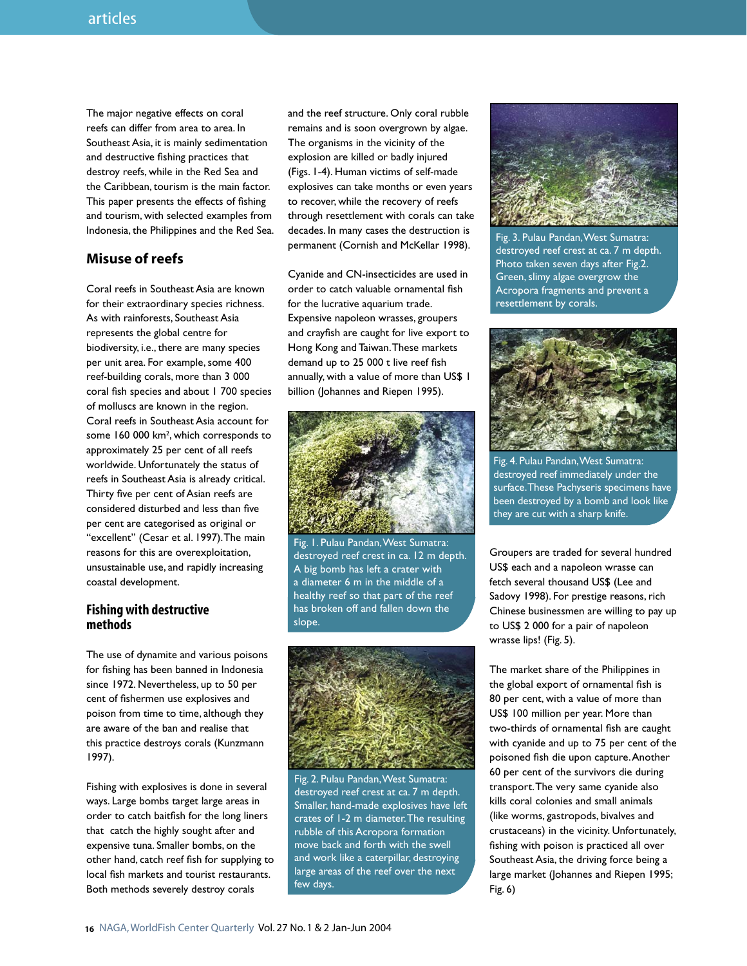# articles

The major negative effects on coral reefs can differ from area to area. In Southeast Asia, it is mainly sedimentation and destructive fishing practices that destroy reefs, while in the Red Sea and the Caribbean, tourism is the main factor. This paper presents the effects of fishing and tourism, with selected examples from Indonesia, the Philippines and the Red Sea.

#### **Misuse of reefs**

Coral reefs in Southeast Asia are known for their extraordinary species richness. As with rainforests, Southeast Asia represents the global centre for biodiversity, i.e., there are many species per unit area. For example, some 400 reef-building corals, more than 3 000 coral fish species and about 1700 species of molluscs are known in the region. Coral reefs in Southeast Asia account for some 160 000 km2 , which corresponds to approximately 25 per cent of all reefs worldwide. Unfortunately the status of reefs in Southeast Asia is already critical. Thirty five per cent of Asian reefs are considered disturbed and less than five per cent are categorised as original or "excellent" (Cesar et al. 1997). The main reasons for this are overexploitation, unsustainable use, and rapidly increasing coastal development.

#### **Fishing with destructive methods**

The use of dynamite and various poisons for fishing has been banned in Indonesia since 1972. Nevertheless, up to 50 per cent of fishermen use explosives and poison from time to time, although they are aware of the ban and realise that this practice destroys corals (Kunzmann 1997).

Fishing with explosives is done in several ways. Large bombs target large areas in order to catch baitfish for the long liners that catch the highly sought after and expensive tuna. Smaller bombs, on the other hand, catch reef fish for supplying to local fish markets and tourist restaurants. Both methods severely destroy corals

and the reef structure. Only coral rubble remains and is soon overgrown by algae. The organisms in the vicinity of the explosion are killed or badly injured (Figs. 1-4). Human victims of self-made explosives can take months or even years to recover, while the recovery of reefs through resettlement with corals can take decades. In many cases the destruction is permanent (Cornish and McKellar 1998).

Cyanide and CN-insecticides are used in order to catch valuable ornamental fish for the lucrative aquarium trade. Expensive napoleon wrasses, groupers and crayfish are caught for live export to Hong Kong and Taiwan. These markets demand up to 25 000 t live reef fish annually, with a value of more than US\$ 1 billion (Johannes and Riepen 1995).



Fig. 1. Pulau Pandan, West Sumatra: destroyed reef crest in ca.  $\sqrt{2}$  m depth. A big bomb has left a crater with a diameter 6 m in the middle of a healthy reef so that part of the reef has broken off and fallen down the slope.



Fig. 2. Pulau Pandan, West Sumatra: destroyed reef crest at ca. 7 m depth. Smaller, hand-made explosives have left crates of 1-2 m diameter. The resulting rubble of this Acropora formation move back and forth with the swell and work like a caterpillar, destroying large areas of the reef over the next few days.



Fig. 3. Pulau Pandan, West Sumatra: destroyed reef crest at ca. 7 m depth. Photo taken seven days after Fig.2. Green, slimy algae overgrow the Acropora fragments and prevent a resettlement by corals.



Fig. 4. Pulau Pandan, West Sumatra: destroyed reef immediately under the surface. These Pachyseris specimens have been destroyed by a bomb and look like they are cut with a sharp knife.

Groupers are traded for several hundred US\$ each and a napoleon wrasse can fetch several thousand US\$ (Lee and Sadovy 1998). For prestige reasons, rich Chinese businessmen are willing to pay up to US\$ 2 000 for a pair of napoleon wrasse lips! (Fig. 5).

The market share of the Philippines in the global export of ornamental fish is 80 per cent, with a value of more than US\$ 100 million per year. More than two-thirds of ornamental fish are caught with cyanide and up to 75 per cent of the poisoned fish die upon capture. Another 60 per cent of the survivors die during transport. The very same cyanide also kills coral colonies and small animals (like worms, gastropods, bivalves and crustaceans) in the vicinity. Unfortunately, fishing with poison is practiced all over Southeast Asia, the driving force being a large market (Johannes and Riepen 1995; Fig. 6)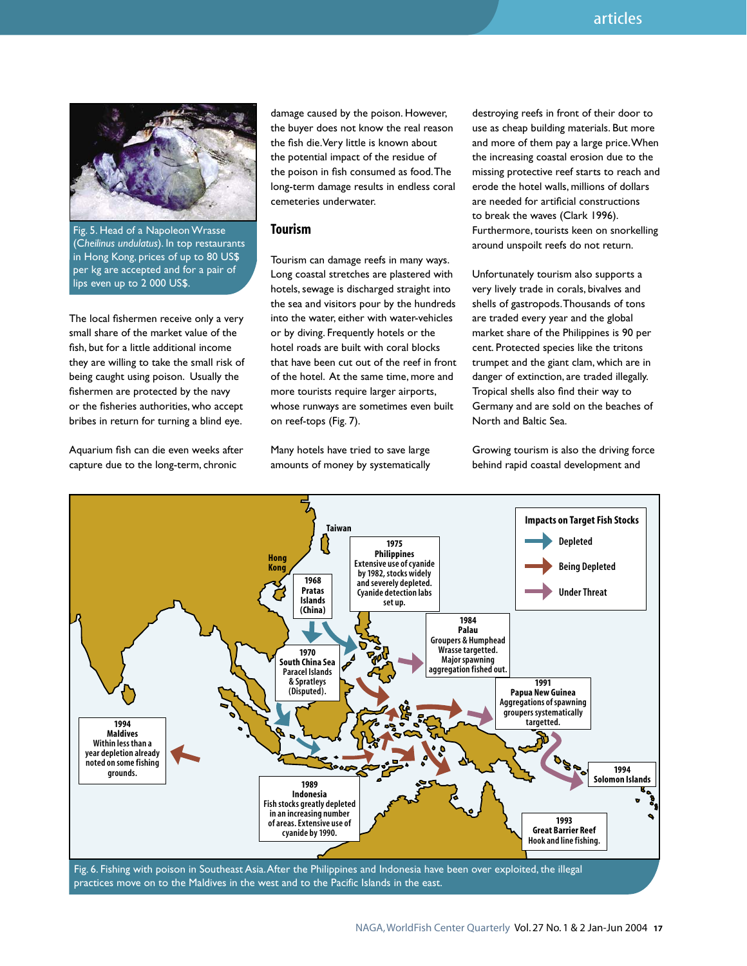

Fig. 5. Head of a Napoleon Wrasse (C*heilinus undulatus*). In top restaurants in Hong Kong, prices of up to 80 US\$ per kg are accepted and for a pair of lips even up to 2 000 US\$.

The local fishermen receive only a very small share of the market value of the fish, but for a little additional income they are willing to take the small risk of being caught using poison. Usually the fishermen are protected by the navy or the fisheries authorities, who accept bribes in return for turning a blind eye.

Aquarium fish can die even weeks after capture due to the long-term, chronic

damage caused by the poison. However, the buyer does not know the real reason the fish die. Very little is known about the potential impact of the residue of the poison in fish consumed as food. The long-term damage results in endless coral cemeteries underwater.

#### **Tourism**

Tourism can damage reefs in many ways. Long coastal stretches are plastered with hotels, sewage is discharged straight into the sea and visitors pour by the hundreds into the water, either with water-vehicles or by diving. Frequently hotels or the hotel roads are built with coral blocks that have been cut out of the reef in front of the hotel. At the same time, more and more tourists require larger airports, whose runways are sometimes even built on reef-tops (Fig. 7).

Many hotels have tried to save large amounts of money by systematically

destroying reefs in front of their door to use as cheap building materials. But more and more of them pay a large price. When the increasing coastal erosion due to the missing protective reef starts to reach and erode the hotel walls, millions of dollars are needed for artificial constructions to break the waves (Clark 1996). Furthermore, tourists keen on snorkelling around unspoilt reefs do not return.

Unfortunately tourism also supports a very lively trade in corals, bivalves and shells of gastropods. Thousands of tons are traded every year and the global market share of the Philippines is 90 per cent. Protected species like the tritons trumpet and the giant clam, which are in danger of extinction, are traded illegally. Tropical shells also find their way to Germany and are sold on the beaches of North and Baltic Sea.

Growing tourism is also the driving force behind rapid coastal development and

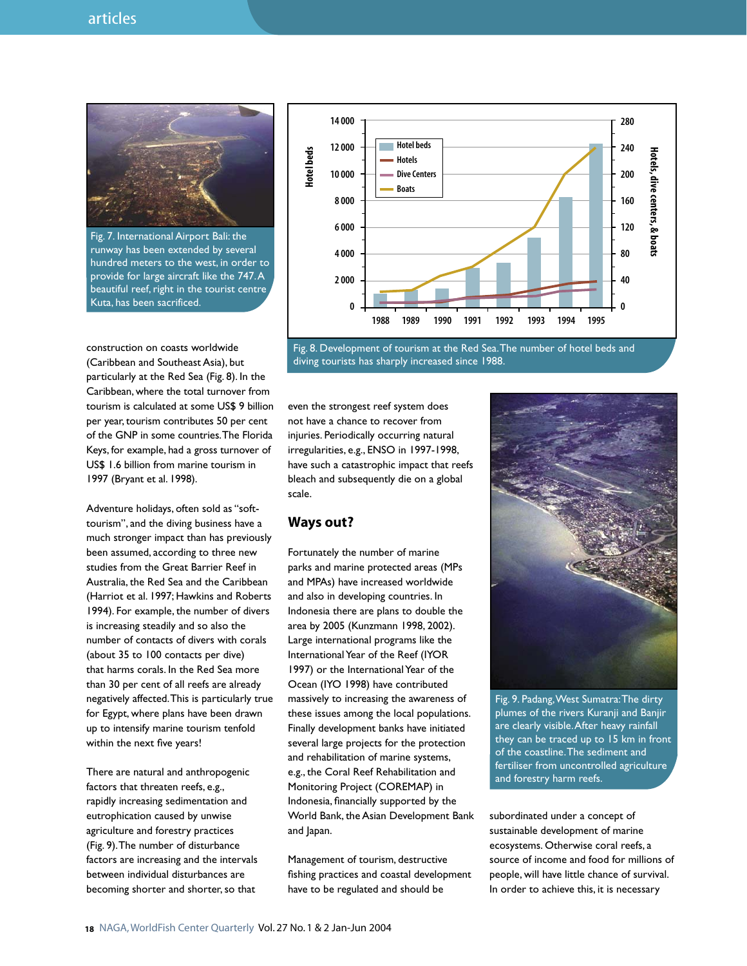# articles



Fig. 7. International Airport Bali: the runway has been extended by several hundred meters to the west, in order to provide for large aircraft like the 747. A beautiful reef, right in the tourist centre Kuta, has been sacrificed.



Adventure holidays, often sold as "softtourism", and the diving business have a much stronger impact than has previously been assumed, according to three new studies from the Great Barrier Reef in Australia, the Red Sea and the Caribbean (Harriot et al. 1997; Hawkins and Roberts 1994). For example, the number of divers is increasing steadily and so also the number of contacts of divers with corals (about 35 to 100 contacts per dive) that harms corals. In the Red Sea more than 30 per cent of all reefs are already negatively affected. This is particularly true for Egypt, where plans have been drawn up to intensify marine tourism tenfold within the next five years!

There are natural and anthropogenic factors that threaten reefs, e.g., rapidly increasing sedimentation and eutrophication caused by unwise agriculture and forestry practices (Fig. 9). The number of disturbance factors are increasing and the intervals between individual disturbances are becoming shorter and shorter, so that



Fig. 8. Development of tourism at the Red Sea. The number of hotel beds and diving tourists has sharply increased since 1988.

even the strongest reef system does not have a chance to recover from injuries. Periodically occurring natural irregularities, e.g., ENSO in 1997-1998, have such a catastrophic impact that reefs bleach and subsequently die on a global scale.

#### **Ways out?**

Fortunately the number of marine parks and marine protected areas (MPs and MPAs) have increased worldwide and also in developing countries. In Indonesia there are plans to double the area by 2005 (Kunzmann 1998, 2002). Large international programs like the International Year of the Reef (IYOR 1997) or the International Year of the Ocean (IYO 1998) have contributed massively to increasing the awareness of these issues among the local populations. Finally development banks have initiated several large projects for the protection and rehabilitation of marine systems, e.g., the Coral Reef Rehabilitation and Monitoring Project (COREMAP) in Indonesia, financially supported by the World Bank, the Asian Development Bank and Japan.

Management of tourism, destructive fishing practices and coastal development have to be regulated and should be



Fig. 9. Padang, West Sumatra: The dirty plumes of the rivers Kuranji and Banjir are clearly visible. After heavy rainfall they can be traced up to 15 km in front of the coastline. The sediment and fertiliser from uncontrolled agriculture and forestry harm reefs.

subordinated under a concept of sustainable development of marine ecosystems. Otherwise coral reefs, a source of income and food for millions of people, will have little chance of survival. In order to achieve this, it is necessary